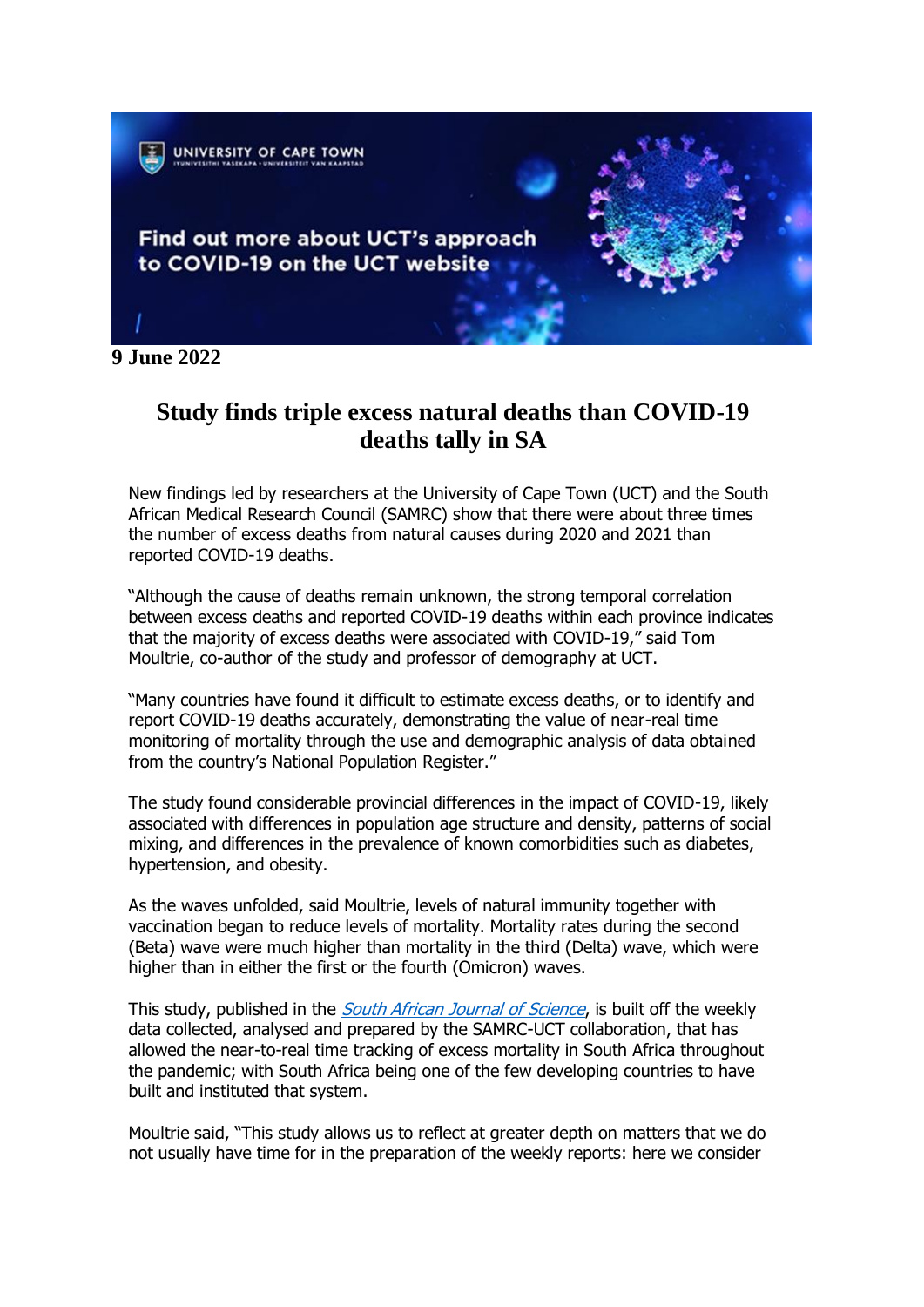

**9 June 2022**

## **Study finds triple excess natural deaths than COVID-19 deaths tally in SA**

New findings led by researchers at the University of Cape Town (UCT) and the South African Medical Research Council (SAMRC) show that there were about three times the number of excess deaths from natural causes during 2020 and 2021 than reported COVID-19 deaths.

"Although the cause of deaths remain unknown, the strong temporal correlation between excess deaths and reported COVID-19 deaths within each province indicates that the majority of excess deaths were associated with COVID-19," said Tom Moultrie, co-author of the study and professor of demography at UCT.

"Many countries have found it difficult to estimate excess deaths, or to identify and report COVID-19 deaths accurately, demonstrating the value of near-real time monitoring of mortality through the use and demographic analysis of data obtained from the country's National Population Register."

The study found considerable provincial differences in the impact of COVID-19, likely associated with differences in population age structure and density, patterns of social mixing, and differences in the prevalence of known comorbidities such as diabetes, hypertension, and obesity.

As the waves unfolded, said Moultrie, levels of natural immunity together with vaccination began to reduce levels of mortality. Mortality rates during the second (Beta) wave were much higher than mortality in the third (Delta) wave, which were higher than in either the first or the fourth (Omicron) waves.

This study, published in the *[South African Journal of Science](https://sajs.co.za/article/view/13300)*, is built off the weekly data collected, analysed and prepared by the SAMRC-UCT collaboration, that has allowed the near-to-real time tracking of excess mortality in South Africa throughout the pandemic; with South Africa being one of the few developing countries to have built and instituted that system.

Moultrie said, "This study allows us to reflect at greater depth on matters that we do not usually have time for in the preparation of the weekly reports: here we consider